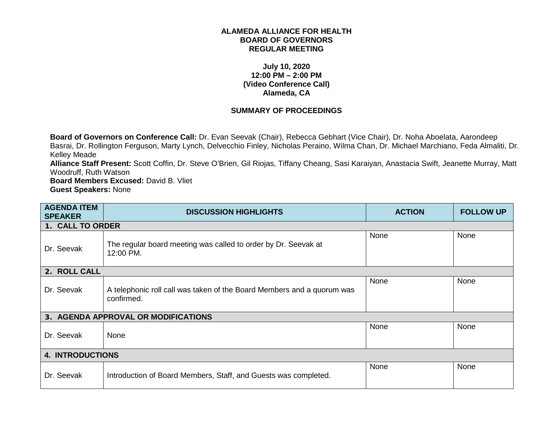## **ALAMEDA ALLIANCE FOR HEALTH BOARD OF GOVERNORS REGULAR MEETING**

## **July 10, 2020 12:00 PM – 2:00 PM (Video Conference Call) Alameda, CA**

## **SUMMARY OF PROCEEDINGS**

**Board of Governors on Conference Call:** Dr. Evan Seevak (Chair), Rebecca Gebhart (Vice Chair), Dr. Noha Aboelata, Aarondeep Basrai, Dr. Rollington Ferguson, Marty Lynch, Delvecchio Finley, Nicholas Peraino, Wilma Chan, Dr. Michael Marchiano, Feda Almaliti, Dr. Kelley Meade

**Alliance Staff Present:** Scott Coffin, Dr. Steve O'Brien, Gil Riojas, Tiffany Cheang, Sasi Karaiyan, Anastacia Swift, Jeanette Murray, Matt Woodruff, Ruth Watson

**Board Members Excused:** David B. Vliet **Guest Speakers:** None

| <b>AGENDA ITEM</b><br><b>SPEAKER</b> | <b>DISCUSSION HIGHLIGHTS</b>                                                         | <b>ACTION</b> | <b>FOLLOW UP</b> |
|--------------------------------------|--------------------------------------------------------------------------------------|---------------|------------------|
| 1. CALL TO ORDER                     |                                                                                      |               |                  |
| Dr. Seevak                           | The regular board meeting was called to order by Dr. Seevak at<br>12:00 PM.          | None          | None             |
| 2. ROLL CALL                         |                                                                                      |               |                  |
| Dr. Seevak                           | A telephonic roll call was taken of the Board Members and a quorum was<br>confirmed. | None          | None             |
|                                      | 3. AGENDA APPROVAL OR MODIFICATIONS                                                  |               |                  |
| Dr. Seevak                           | None                                                                                 | None          | None             |
| <b>4. INTRODUCTIONS</b>              |                                                                                      |               |                  |
| Dr. Seevak                           | Introduction of Board Members, Staff, and Guests was completed.                      | None          | None             |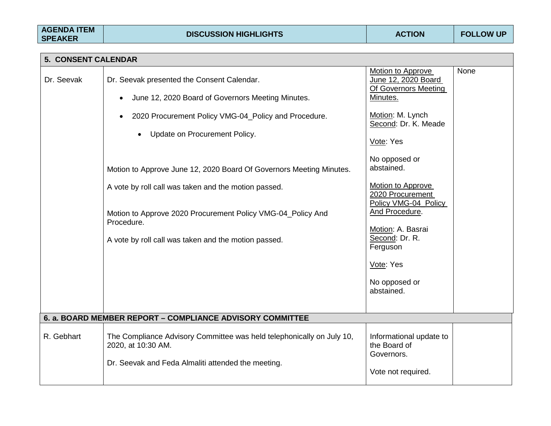|            | <b>5. CONSENT CALENDAR</b>                                                                                                                        |                                                                      |      |  |
|------------|---------------------------------------------------------------------------------------------------------------------------------------------------|----------------------------------------------------------------------|------|--|
| Dr. Seevak | Dr. Seevak presented the Consent Calendar.                                                                                                        | Motion to Approve<br>June 12, 2020 Board<br>Of Governors Meeting     | None |  |
|            | June 12, 2020 Board of Governors Meeting Minutes.<br>$\bullet$                                                                                    | Minutes.                                                             |      |  |
|            | 2020 Procurement Policy VMG-04_Policy and Procedure.                                                                                              | Motion: M. Lynch<br>Second: Dr. K. Meade                             |      |  |
|            | Update on Procurement Policy.                                                                                                                     | Vote: Yes                                                            |      |  |
|            | Motion to Approve June 12, 2020 Board Of Governors Meeting Minutes.                                                                               | No opposed or<br>abstained.                                          |      |  |
|            | A vote by roll call was taken and the motion passed.                                                                                              | <b>Motion to Approve</b><br>2020 Procurement<br>Policy VMG-04_Policy |      |  |
|            | Motion to Approve 2020 Procurement Policy VMG-04_Policy And<br>Procedure.                                                                         | And Procedure.                                                       |      |  |
|            | A vote by roll call was taken and the motion passed.                                                                                              | Motion: A. Basrai<br>Second: Dr. R.<br>Ferguson                      |      |  |
|            |                                                                                                                                                   | Vote: Yes                                                            |      |  |
|            |                                                                                                                                                   | No opposed or<br>abstained.                                          |      |  |
|            | 6. a. BOARD MEMBER REPORT - COMPLIANCE ADVISORY COMMITTEE                                                                                         |                                                                      |      |  |
| R. Gebhart | The Compliance Advisory Committee was held telephonically on July 10,<br>2020, at 10:30 AM.<br>Dr. Seevak and Feda Almaliti attended the meeting. | Informational update to<br>the Board of<br>Governors.                |      |  |
|            |                                                                                                                                                   | Vote not required.                                                   |      |  |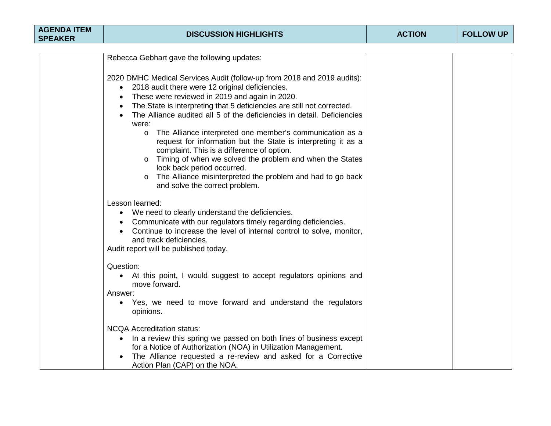| <b>AGENDA ITEM</b><br><b>SPEAKER</b> | <b>DISCUSSION HIGHLIGHTS</b>                                                                                                                                                                                                                                                                                                                                                                                                                                                                                                                                                                                                                                                                                                                                                                                                            | <b>ACTION</b> | <b>FOLLOW UP</b> |
|--------------------------------------|-----------------------------------------------------------------------------------------------------------------------------------------------------------------------------------------------------------------------------------------------------------------------------------------------------------------------------------------------------------------------------------------------------------------------------------------------------------------------------------------------------------------------------------------------------------------------------------------------------------------------------------------------------------------------------------------------------------------------------------------------------------------------------------------------------------------------------------------|---------------|------------------|
|                                      |                                                                                                                                                                                                                                                                                                                                                                                                                                                                                                                                                                                                                                                                                                                                                                                                                                         |               |                  |
|                                      | Rebecca Gebhart gave the following updates:<br>2020 DMHC Medical Services Audit (follow-up from 2018 and 2019 audits):<br>2018 audit there were 12 original deficiencies.<br>$\bullet$<br>These were reviewed in 2019 and again in 2020.<br>$\bullet$<br>The State is interpreting that 5 deficiencies are still not corrected.<br>$\bullet$<br>The Alliance audited all 5 of the deficiencies in detail. Deficiencies<br>$\bullet$<br>were:<br>The Alliance interpreted one member's communication as a<br>$\circ$<br>request for information but the State is interpreting it as a<br>complaint. This is a difference of option.<br>Timing of when we solved the problem and when the States<br>$\circ$<br>look back period occurred.<br>The Alliance misinterpreted the problem and had to go back<br>and solve the correct problem. |               |                  |
|                                      | Lesson learned:<br>We need to clearly understand the deficiencies.<br>$\bullet$<br>Communicate with our regulators timely regarding deficiencies.<br>$\bullet$<br>Continue to increase the level of internal control to solve, monitor,<br>$\bullet$<br>and track deficiencies.<br>Audit report will be published today.<br>Question:<br>At this point, I would suggest to accept regulators opinions and<br>move forward.<br>Answer:<br>• Yes, we need to move forward and understand the regulators<br>opinions.                                                                                                                                                                                                                                                                                                                      |               |                  |
|                                      | <b>NCQA Accreditation status:</b><br>In a review this spring we passed on both lines of business except<br>$\bullet$<br>for a Notice of Authorization (NOA) in Utilization Management.<br>The Alliance requested a re-review and asked for a Corrective<br>Action Plan (CAP) on the NOA.                                                                                                                                                                                                                                                                                                                                                                                                                                                                                                                                                |               |                  |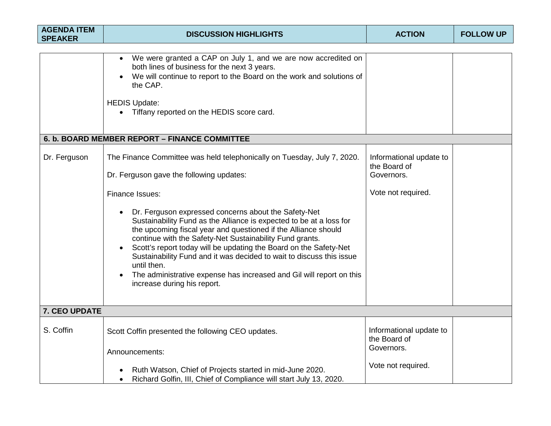| <b>AGENDA ITEM</b><br><b>SPEAKER</b> | <b>DISCUSSION HIGHLIGHTS</b>                                                                                                                                                                                                                                                                                                                                                                                                                                                                                                                                                                                                                                           | <b>ACTION</b>                                                               | <b>FOLLOW UP</b> |
|--------------------------------------|------------------------------------------------------------------------------------------------------------------------------------------------------------------------------------------------------------------------------------------------------------------------------------------------------------------------------------------------------------------------------------------------------------------------------------------------------------------------------------------------------------------------------------------------------------------------------------------------------------------------------------------------------------------------|-----------------------------------------------------------------------------|------------------|
|                                      |                                                                                                                                                                                                                                                                                                                                                                                                                                                                                                                                                                                                                                                                        |                                                                             |                  |
|                                      | We were granted a CAP on July 1, and we are now accredited on<br>both lines of business for the next 3 years.<br>We will continue to report to the Board on the work and solutions of<br>the CAP.<br><b>HEDIS Update:</b><br>• Tiffany reported on the HEDIS score card.                                                                                                                                                                                                                                                                                                                                                                                               |                                                                             |                  |
|                                      | 6. b. BOARD MEMBER REPORT - FINANCE COMMITTEE                                                                                                                                                                                                                                                                                                                                                                                                                                                                                                                                                                                                                          |                                                                             |                  |
| Dr. Ferguson                         | The Finance Committee was held telephonically on Tuesday, July 7, 2020.<br>Dr. Ferguson gave the following updates:<br>Finance Issues:<br>Dr. Ferguson expressed concerns about the Safety-Net<br>Sustainability Fund as the Alliance is expected to be at a loss for<br>the upcoming fiscal year and questioned if the Alliance should<br>continue with the Safety-Net Sustainability Fund grants.<br>Scott's report today will be updating the Board on the Safety-Net<br>Sustainability Fund and it was decided to wait to discuss this issue<br>until then.<br>The administrative expense has increased and Gil will report on this<br>increase during his report. | Informational update to<br>the Board of<br>Governors.<br>Vote not required. |                  |
| 7. CEO UPDATE                        |                                                                                                                                                                                                                                                                                                                                                                                                                                                                                                                                                                                                                                                                        |                                                                             |                  |
| S. Coffin                            | Scott Coffin presented the following CEO updates.<br>Announcements:                                                                                                                                                                                                                                                                                                                                                                                                                                                                                                                                                                                                    | Informational update to<br>the Board of<br>Governors.                       |                  |
|                                      | Ruth Watson, Chief of Projects started in mid-June 2020.<br>Richard Golfin, III, Chief of Compliance will start July 13, 2020.<br>$\bullet$                                                                                                                                                                                                                                                                                                                                                                                                                                                                                                                            | Vote not required.                                                          |                  |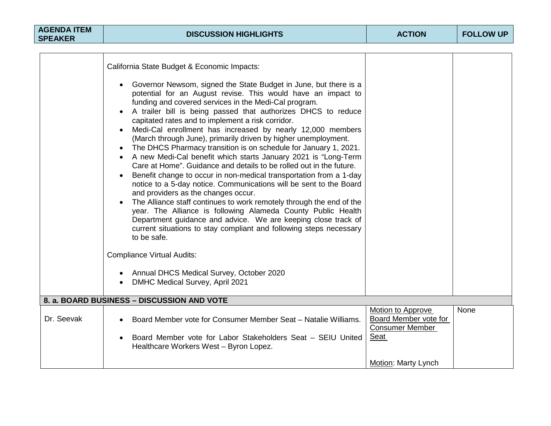|            | California State Budget & Economic Impacts:<br>Governor Newsom, signed the State Budget in June, but there is a<br>$\bullet$<br>potential for an August revise. This would have an impact to<br>funding and covered services in the Medi-Cal program.<br>A trailer bill is being passed that authorizes DHCS to reduce<br>capitated rates and to implement a risk corridor.<br>Medi-Cal enrollment has increased by nearly 12,000 members<br>(March through June), primarily driven by higher unemployment.<br>The DHCS Pharmacy transition is on schedule for January 1, 2021.<br>$\bullet$<br>A new Medi-Cal benefit which starts January 2021 is "Long-Term<br>$\bullet$<br>Care at Home". Guidance and details to be rolled out in the future.<br>Benefit change to occur in non-medical transportation from a 1-day<br>notice to a 5-day notice. Communications will be sent to the Board<br>and providers as the changes occur.<br>The Alliance staff continues to work remotely through the end of the<br>year. The Alliance is following Alameda County Public Health<br>Department guidance and advice. We are keeping close track of<br>current situations to stay compliant and following steps necessary<br>to be safe.<br><b>Compliance Virtual Audits:</b><br>Annual DHCS Medical Survey, October 2020 |                          |      |
|------------|----------------------------------------------------------------------------------------------------------------------------------------------------------------------------------------------------------------------------------------------------------------------------------------------------------------------------------------------------------------------------------------------------------------------------------------------------------------------------------------------------------------------------------------------------------------------------------------------------------------------------------------------------------------------------------------------------------------------------------------------------------------------------------------------------------------------------------------------------------------------------------------------------------------------------------------------------------------------------------------------------------------------------------------------------------------------------------------------------------------------------------------------------------------------------------------------------------------------------------------------------------------------------------------------------------------------|--------------------------|------|
|            | DMHC Medical Survey, April 2021                                                                                                                                                                                                                                                                                                                                                                                                                                                                                                                                                                                                                                                                                                                                                                                                                                                                                                                                                                                                                                                                                                                                                                                                                                                                                      |                          |      |
|            | 8. a. BOARD BUSINESS - DISCUSSION AND VOTE                                                                                                                                                                                                                                                                                                                                                                                                                                                                                                                                                                                                                                                                                                                                                                                                                                                                                                                                                                                                                                                                                                                                                                                                                                                                           |                          |      |
|            |                                                                                                                                                                                                                                                                                                                                                                                                                                                                                                                                                                                                                                                                                                                                                                                                                                                                                                                                                                                                                                                                                                                                                                                                                                                                                                                      | <b>Motion to Approve</b> | None |
| Dr. Seevak | Board Member vote for Consumer Member Seat - Natalie Williams.<br>$\bullet$                                                                                                                                                                                                                                                                                                                                                                                                                                                                                                                                                                                                                                                                                                                                                                                                                                                                                                                                                                                                                                                                                                                                                                                                                                          | Board Member vote for    |      |
|            |                                                                                                                                                                                                                                                                                                                                                                                                                                                                                                                                                                                                                                                                                                                                                                                                                                                                                                                                                                                                                                                                                                                                                                                                                                                                                                                      | <b>Consumer Member</b>   |      |
|            | Board Member vote for Labor Stakeholders Seat - SEIU United<br>$\bullet$<br>Healthcare Workers West - Byron Lopez.                                                                                                                                                                                                                                                                                                                                                                                                                                                                                                                                                                                                                                                                                                                                                                                                                                                                                                                                                                                                                                                                                                                                                                                                   | Seat                     |      |
|            |                                                                                                                                                                                                                                                                                                                                                                                                                                                                                                                                                                                                                                                                                                                                                                                                                                                                                                                                                                                                                                                                                                                                                                                                                                                                                                                      | Motion: Marty Lynch      |      |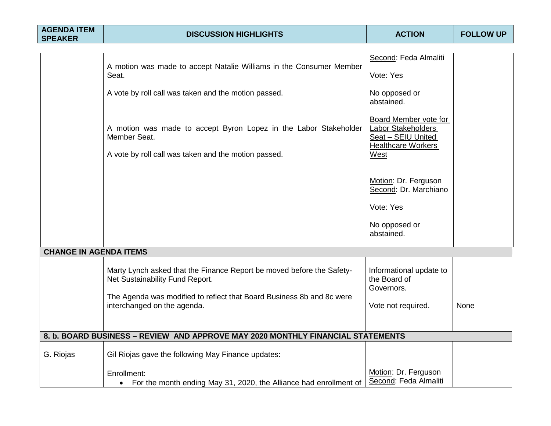| <b>AGENDA ITEM</b><br><b>SPEAKER</b> | <b>DISCUSSION HIGHLIGHTS</b>                                                                                                             | <b>ACTION</b>                                                                                          | <b>FOLLOW UP</b> |
|--------------------------------------|------------------------------------------------------------------------------------------------------------------------------------------|--------------------------------------------------------------------------------------------------------|------------------|
|                                      |                                                                                                                                          |                                                                                                        |                  |
|                                      | A motion was made to accept Natalie Williams in the Consumer Member                                                                      | Second: Feda Almaliti                                                                                  |                  |
|                                      | Seat.                                                                                                                                    | Vote: Yes                                                                                              |                  |
|                                      | A vote by roll call was taken and the motion passed.                                                                                     | No opposed or<br>abstained.                                                                            |                  |
|                                      | A motion was made to accept Byron Lopez in the Labor Stakeholder<br>Member Seat.<br>A vote by roll call was taken and the motion passed. | Board Member vote for<br>Labor Stakeholders<br>Seat - SEIU United<br><b>Healthcare Workers</b><br>West |                  |
|                                      |                                                                                                                                          | Motion: Dr. Ferguson<br>Second: Dr. Marchiano                                                          |                  |
|                                      |                                                                                                                                          | Vote: Yes                                                                                              |                  |
|                                      |                                                                                                                                          | No opposed or<br>abstained.                                                                            |                  |
| <b>CHANGE IN AGENDA ITEMS</b>        |                                                                                                                                          |                                                                                                        |                  |
|                                      | Marty Lynch asked that the Finance Report be moved before the Safety-<br>Net Sustainability Fund Report.                                 | Informational update to<br>the Board of<br>Governors.                                                  |                  |
|                                      | The Agenda was modified to reflect that Board Business 8b and 8c were<br>interchanged on the agenda.                                     | Vote not required.                                                                                     | None             |
|                                      | 8. b. BOARD BUSINESS - REVIEW AND APPROVE MAY 2020 MONTHLY FINANCIAL STATEMENTS                                                          |                                                                                                        |                  |
| G. Riojas                            | Gil Riojas gave the following May Finance updates:                                                                                       |                                                                                                        |                  |
|                                      | Enrollment:<br>For the month ending May 31, 2020, the Alliance had enrollment of                                                         | Motion: Dr. Ferguson<br>Second: Feda Almaliti                                                          |                  |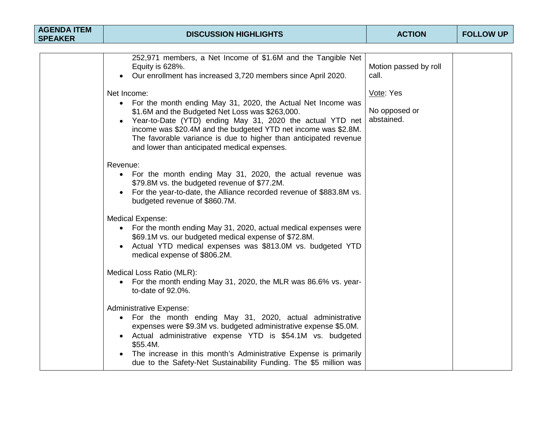| <b>AGENDA ITEM</b><br><b>SPEAKER</b> | <b>DISCUSSION HIGHLIGHTS</b>                                                                                                                                                                                                                                                                                                                                                                                | <b>ACTION</b>                            | <b>FOLLOW UP</b> |  |
|--------------------------------------|-------------------------------------------------------------------------------------------------------------------------------------------------------------------------------------------------------------------------------------------------------------------------------------------------------------------------------------------------------------------------------------------------------------|------------------------------------------|------------------|--|
|                                      |                                                                                                                                                                                                                                                                                                                                                                                                             |                                          |                  |  |
|                                      | 252,971 members, a Net Income of \$1.6M and the Tangible Net<br>Equity is 628%.<br>Our enrollment has increased 3,720 members since April 2020.<br>$\bullet$                                                                                                                                                                                                                                                | Motion passed by roll<br>call.           |                  |  |
|                                      | Net Income:<br>For the month ending May 31, 2020, the Actual Net Income was<br>$\bullet$<br>\$1.6M and the Budgeted Net Loss was \$263,000.<br>Year-to-Date (YTD) ending May 31, 2020 the actual YTD net<br>$\bullet$<br>income was \$20.4M and the budgeted YTD net income was \$2.8M.<br>The favorable variance is due to higher than anticipated revenue<br>and lower than anticipated medical expenses. | Vote: Yes<br>No opposed or<br>abstained. |                  |  |
|                                      | Revenue:<br>For the month ending May 31, 2020, the actual revenue was<br>\$79.8M vs. the budgeted revenue of \$77.2M.<br>For the year-to-date, the Alliance recorded revenue of \$883.8M vs.<br>budgeted revenue of \$860.7M.                                                                                                                                                                               |                                          |                  |  |
|                                      | <b>Medical Expense:</b><br>• For the month ending May 31, 2020, actual medical expenses were<br>\$69.1M vs. our budgeted medical expense of \$72.8M.<br>Actual YTD medical expenses was \$813.0M vs. budgeted YTD<br>medical expense of \$806.2M.                                                                                                                                                           |                                          |                  |  |
|                                      | Medical Loss Ratio (MLR):<br>For the month ending May 31, 2020, the MLR was 86.6% vs. year-<br>to-date of 92.0%.                                                                                                                                                                                                                                                                                            |                                          |                  |  |
|                                      | <b>Administrative Expense:</b><br>For the month ending May 31, 2020, actual administrative<br>$\bullet$<br>expenses were \$9.3M vs. budgeted administrative expense \$5.0M.<br>Actual administrative expense YTD is \$54.1M vs. budgeted<br>$\bullet$<br>\$55.4M.<br>The increase in this month's Administrative Expense is primarily<br>due to the Safety-Net Sustainability Funding. The \$5 million was  |                                          |                  |  |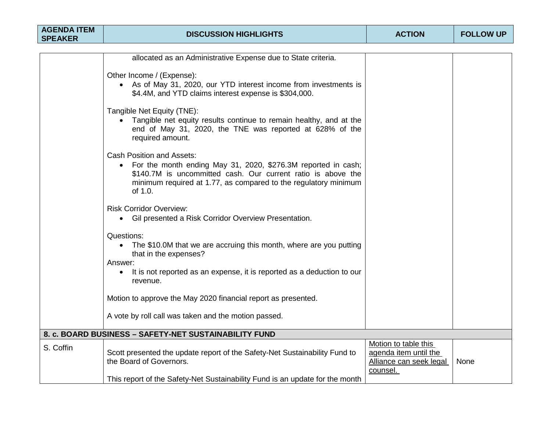| <b>AGENDA ITEM</b><br><b>SPEAKER</b> | <b>DISCUSSION HIGHLIGHTS</b>                                                                                                                                                                                                                      | <b>ACTION</b>                                                                        | <b>FOLLOW UP</b> |
|--------------------------------------|---------------------------------------------------------------------------------------------------------------------------------------------------------------------------------------------------------------------------------------------------|--------------------------------------------------------------------------------------|------------------|
|                                      |                                                                                                                                                                                                                                                   |                                                                                      |                  |
|                                      | allocated as an Administrative Expense due to State criteria.                                                                                                                                                                                     |                                                                                      |                  |
|                                      | Other Income / (Expense):<br>• As of May 31, 2020, our YTD interest income from investments is<br>\$4.4M, and YTD claims interest expense is \$304,000.                                                                                           |                                                                                      |                  |
|                                      | Tangible Net Equity (TNE):<br>• Tangible net equity results continue to remain healthy, and at the<br>end of May 31, 2020, the TNE was reported at 628% of the<br>required amount.                                                                |                                                                                      |                  |
|                                      | <b>Cash Position and Assets:</b><br>• For the month ending May 31, 2020, \$276.3M reported in cash;<br>\$140.7M is uncommitted cash. Our current ratio is above the<br>minimum required at 1.77, as compared to the regulatory minimum<br>of 1.0. |                                                                                      |                  |
|                                      | <b>Risk Corridor Overview:</b><br>• Gil presented a Risk Corridor Overview Presentation.                                                                                                                                                          |                                                                                      |                  |
|                                      | Questions:<br>• The \$10.0M that we are accruing this month, where are you putting<br>that in the expenses?<br>Answer:<br>It is not reported as an expense, it is reported as a deduction to our<br>$\bullet$                                     |                                                                                      |                  |
|                                      | revenue.<br>Motion to approve the May 2020 financial report as presented.                                                                                                                                                                         |                                                                                      |                  |
|                                      | A vote by roll call was taken and the motion passed.                                                                                                                                                                                              |                                                                                      |                  |
|                                      | 8. c. BOARD BUSINESS - SAFETY-NET SUSTAINABILITY FUND                                                                                                                                                                                             |                                                                                      |                  |
| S. Coffin                            | Scott presented the update report of the Safety-Net Sustainability Fund to<br>the Board of Governors.                                                                                                                                             | Motion to table this<br>agenda item until the<br>Alliance can seek legal<br>counsel. | None             |
|                                      | This report of the Safety-Net Sustainability Fund is an update for the month                                                                                                                                                                      |                                                                                      |                  |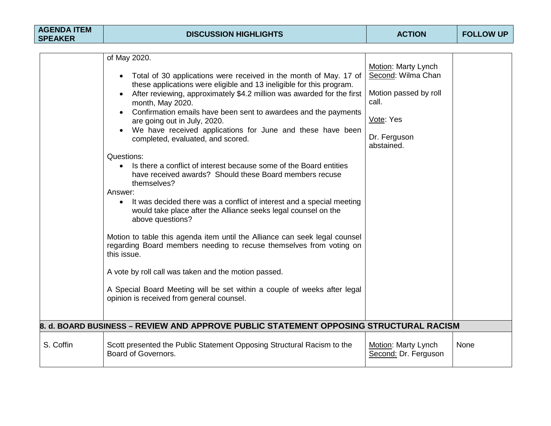|           | of May 2020.<br>• Total of 30 applications were received in the month of May. 17 of<br>these applications were eligible and 13 ineligible for this program.<br>After reviewing, approximately \$4.2 million was awarded for the first<br>month, May 2020.<br>Confirmation emails have been sent to awardees and the payments<br>are going out in July, 2020.<br>We have received applications for June and these have been<br>$\bullet$<br>completed, evaluated, and scored.<br>Questions:<br>Is there a conflict of interest because some of the Board entities<br>$\bullet$<br>have received awards? Should these Board members recuse<br>themselves?<br>Answer:<br>It was decided there was a conflict of interest and a special meeting<br>would take place after the Alliance seeks legal counsel on the<br>above questions?<br>Motion to table this agenda item until the Alliance can seek legal counsel<br>regarding Board members needing to recuse themselves from voting on<br>this issue.<br>A vote by roll call was taken and the motion passed.<br>A Special Board Meeting will be set within a couple of weeks after legal<br>opinion is received from general counsel. | Motion: Marty Lynch<br>Second: Wilma Chan<br>Motion passed by roll<br>call.<br>Vote: Yes<br>Dr. Ferguson<br>abstained. |      |
|-----------|----------------------------------------------------------------------------------------------------------------------------------------------------------------------------------------------------------------------------------------------------------------------------------------------------------------------------------------------------------------------------------------------------------------------------------------------------------------------------------------------------------------------------------------------------------------------------------------------------------------------------------------------------------------------------------------------------------------------------------------------------------------------------------------------------------------------------------------------------------------------------------------------------------------------------------------------------------------------------------------------------------------------------------------------------------------------------------------------------------------------------------------------------------------------------------------|------------------------------------------------------------------------------------------------------------------------|------|
|           | 8. d. BOARD BUSINESS – REVIEW AND APPROVE PUBLIC STATEMENT OPPOSING STRUCTURAL RACISM                                                                                                                                                                                                                                                                                                                                                                                                                                                                                                                                                                                                                                                                                                                                                                                                                                                                                                                                                                                                                                                                                                  |                                                                                                                        |      |
| S. Coffin | Scott presented the Public Statement Opposing Structural Racism to the<br>Board of Governors.                                                                                                                                                                                                                                                                                                                                                                                                                                                                                                                                                                                                                                                                                                                                                                                                                                                                                                                                                                                                                                                                                          | Motion: Marty Lynch<br>Second: Dr. Ferguson                                                                            | None |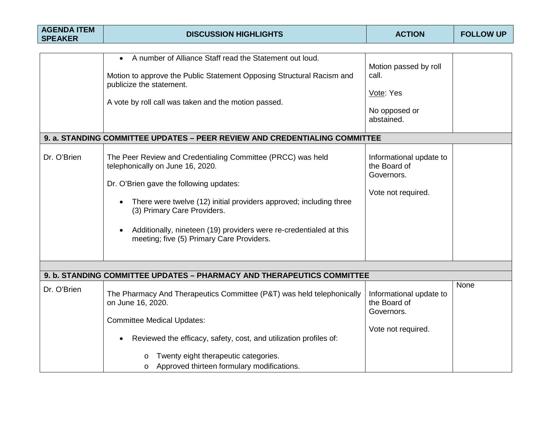| <b>AGENDA ITEM</b><br><b>SPEAKER</b> | <b>DISCUSSION HIGHLIGHTS</b>                                                                                                                                                                                                                                                                                                                                                                                                                                                                                                                                                                                                                                                          | <b>ACTION</b>                                                                                                                                             | <b>FOLLOW UP</b> |
|--------------------------------------|---------------------------------------------------------------------------------------------------------------------------------------------------------------------------------------------------------------------------------------------------------------------------------------------------------------------------------------------------------------------------------------------------------------------------------------------------------------------------------------------------------------------------------------------------------------------------------------------------------------------------------------------------------------------------------------|-----------------------------------------------------------------------------------------------------------------------------------------------------------|------------------|
| Dr. O'Brien                          | A number of Alliance Staff read the Statement out loud.<br>$\bullet$<br>Motion to approve the Public Statement Opposing Structural Racism and<br>publicize the statement.<br>A vote by roll call was taken and the motion passed.<br>9. a. STANDING COMMITTEE UPDATES - PEER REVIEW AND CREDENTIALING COMMITTEE<br>The Peer Review and Credentialing Committee (PRCC) was held<br>telephonically on June 16, 2020.<br>Dr. O'Brien gave the following updates:<br>There were twelve (12) initial providers approved; including three<br>(3) Primary Care Providers.<br>Additionally, nineteen (19) providers were re-credentialed at this<br>meeting; five (5) Primary Care Providers. | Motion passed by roll<br>call.<br>Vote: Yes<br>No opposed or<br>abstained.<br>Informational update to<br>the Board of<br>Governors.<br>Vote not required. |                  |
|                                      | 9. b. STANDING COMMITTEE UPDATES - PHARMACY AND THERAPEUTICS COMMITTEE                                                                                                                                                                                                                                                                                                                                                                                                                                                                                                                                                                                                                |                                                                                                                                                           |                  |
| Dr. O'Brien                          | The Pharmacy And Therapeutics Committee (P&T) was held telephonically<br>on June 16, 2020.<br><b>Committee Medical Updates:</b><br>Reviewed the efficacy, safety, cost, and utilization profiles of:<br>Twenty eight therapeutic categories.<br>Approved thirteen formulary modifications.<br>$\circ$                                                                                                                                                                                                                                                                                                                                                                                 | Informational update to<br>the Board of<br>Governors.<br>Vote not required.                                                                               | None             |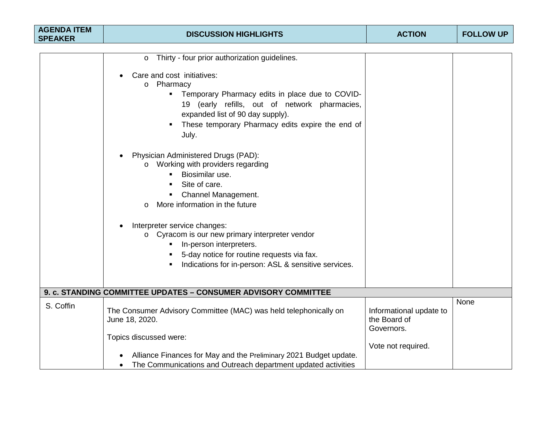| <b>AGENDA ITEM</b><br><b>SPEAKER</b> | <b>DISCUSSION HIGHLIGHTS</b>                                                                                                                                                                                                                                                                                                                                                                                                                  | <b>ACTION</b>                                                               | <b>FOLLOW UP</b> |
|--------------------------------------|-----------------------------------------------------------------------------------------------------------------------------------------------------------------------------------------------------------------------------------------------------------------------------------------------------------------------------------------------------------------------------------------------------------------------------------------------|-----------------------------------------------------------------------------|------------------|
|                                      |                                                                                                                                                                                                                                                                                                                                                                                                                                               |                                                                             |                  |
|                                      | Thirty - four prior authorization guidelines.<br>$\circ$<br>Care and cost initiatives:<br>$\bullet$<br>o Pharmacy<br>Temporary Pharmacy edits in place due to COVID-<br>19 (early refills, out of network pharmacies,<br>expanded list of 90 day supply).<br>These temporary Pharmacy edits expire the end of<br>July.<br>Physician Administered Drugs (PAD):<br>$\bullet$<br>Working with providers regarding<br>$\Omega$<br>Biosimilar use. |                                                                             |                  |
|                                      | Site of care.<br>Channel Management.<br>٠<br>More information in the future<br>$\Omega$<br>Interpreter service changes:<br>$\bullet$<br>o Cyracom is our new primary interpreter vendor<br>In-person interpreters.<br>5-day notice for routine requests via fax.<br>Indications for in-person: ASL & sensitive services.                                                                                                                      |                                                                             |                  |
|                                      | 9. c. STANDING COMMITTEE UPDATES - CONSUMER ADVISORY COMMITTEE                                                                                                                                                                                                                                                                                                                                                                                |                                                                             |                  |
| S. Coffin                            | The Consumer Advisory Committee (MAC) was held telephonically on<br>June 18, 2020.<br>Topics discussed were:                                                                                                                                                                                                                                                                                                                                  | Informational update to<br>the Board of<br>Governors.<br>Vote not required. | None             |
|                                      | Alliance Finances for May and the Preliminary 2021 Budget update.<br>The Communications and Outreach department updated activities<br>$\bullet$                                                                                                                                                                                                                                                                                               |                                                                             |                  |